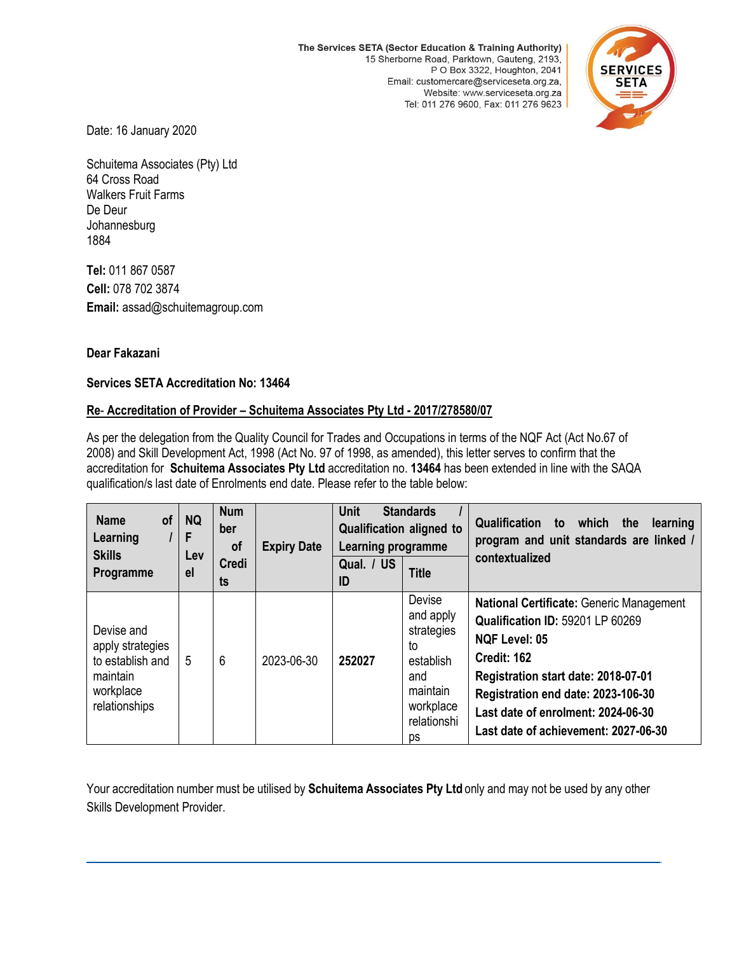The Services SETA (Sector Education & Training Authority) 15 Sherborne Road, Parktown, Gauteng, 2193, P O Box 3322, Houghton, 2041 Email: customercare@serviceseta.org.za, Website: www.serviceseta.org.za Tel: 011 276 9600, Fax: 011 276 9623



Date: 16 January 2020

Schuitema Associates (Pty) Ltd 64 Cross Road Walkers Fruit Farms De Deur **Johannesburg** 1884

**Tel:** 011 867 0587 **Cell:** 078 702 3874 **Email:** assad@schuitemagroup.com

## **Dear Fakazani**

## **Services SETA Accreditation No: 13464**

## **Re**- **Accreditation of Provider – Schuitema Associates Pty Ltd - 2017/278580/07**

As per the delegation from the Quality Council for Trades and Occupations in terms of the NQF Act (Act No.67 of 2008) and Skill Development Act, 1998 (Act No. 97 of 1998, as amended), this letter serves to confirm that the accreditation for **Schuitema Associates Pty Ltd** accreditation no. **13464** has been extended in line with the SAQA qualification/s last date of Enrolments end date. Please refer to the table below:

| <b>Name</b><br>of<br>Learning<br><b>Skills</b><br>Programme                                  | <b>NQ</b><br>F<br>Lev<br>el | <b>Num</b><br>ber<br><b>of</b><br><b>Credi</b><br>ts | <b>Expiry Date</b> | <b>Unit</b><br><b>Standards</b><br><b>Qualification aligned to</b><br>Learning programme |                                                                                                           | <b>Qualification</b><br>which the<br>to<br>learning<br>program and unit standards are linked /                                                                                                                                                                                               |
|----------------------------------------------------------------------------------------------|-----------------------------|------------------------------------------------------|--------------------|------------------------------------------------------------------------------------------|-----------------------------------------------------------------------------------------------------------|----------------------------------------------------------------------------------------------------------------------------------------------------------------------------------------------------------------------------------------------------------------------------------------------|
|                                                                                              |                             |                                                      |                    | Qual. / US<br>ID                                                                         | <b>Title</b>                                                                                              | contextualized                                                                                                                                                                                                                                                                               |
| Devise and<br>apply strategies<br>to establish and<br>maintain<br>workplace<br>relationships | 5                           | 6                                                    | 2023-06-30         | 252027                                                                                   | Devise<br>and apply<br>strategies<br>to<br>establish<br>and<br>maintain<br>workplace<br>relationshi<br>ps | <b>National Certificate: Generic Management</b><br>Qualification ID: 59201 LP 60269<br><b>NQF Level: 05</b><br><b>Credit: 162</b><br>Registration start date: 2018-07-01<br>Registration end date: 2023-106-30<br>Last date of enrolment: 2024-06-30<br>Last date of achievement: 2027-06-30 |

Your accreditation number must be utilised by **Schuitema Associates Pty Ltd** only and may not be used by any other Skills Development Provider.